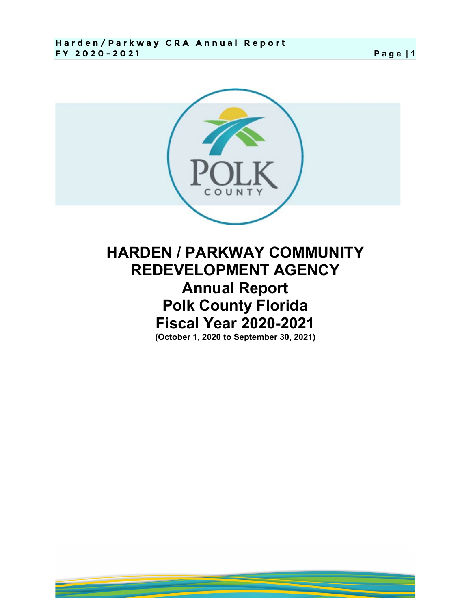

## **HARDEN / PARKWAY COMMUNITY REDEVELOPMENT AGENCY Annual Report Polk County Florida Fiscal Year 2020-2021 (October 1, 2020 to September 30, 2021)**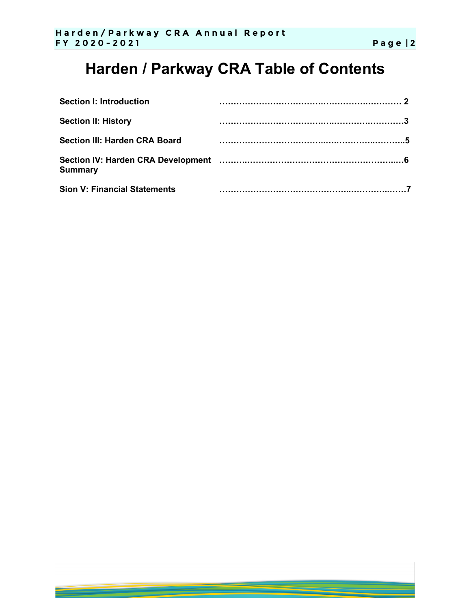# **Harden / Parkway CRA Table of Contents**

| <b>Section I: Introduction</b>       |  |
|--------------------------------------|--|
| <b>Section II: History</b>           |  |
| <b>Section III: Harden CRA Board</b> |  |
| <b>Summary</b>                       |  |
| <b>Sion V: Financial Statements</b>  |  |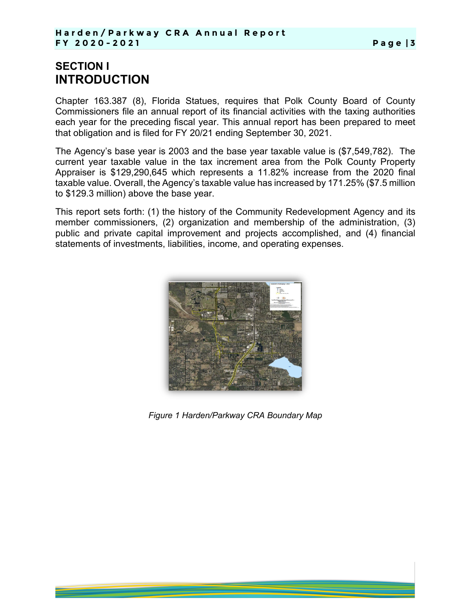#### **SECTION I INTRODUCTION**

Chapter 163.387 (8), Florida Statues, requires that Polk County Board of County Commissioners file an annual report of its financial activities with the taxing authorities each year for the preceding fiscal year. This annual report has been prepared to meet that obligation and is filed for FY 20/21 ending September 30, 2021.

The Agency's base year is 2003 and the base year taxable value is (\$7,549,782). The current year taxable value in the tax increment area from the Polk County Property Appraiser is \$129,290,645 which represents a 11.82% increase from the 2020 final taxable value. Overall, the Agency's taxable value has increased by 171.25% (\$7.5 million to \$129.3 million) above the base year.

This report sets forth: (1) the history of the Community Redevelopment Agency and its member commissioners, (2) organization and membership of the administration, (3) public and private capital improvement and projects accomplished, and (4) financial statements of investments, liabilities, income, and operating expenses.



**Figure 1 Harden/Parkway CRA Boundary Map**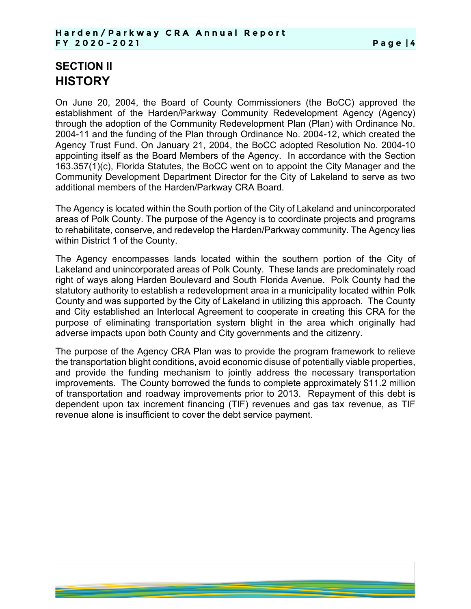#### **SECTION II HISTORY**

On June 20, 2004, the Board of County Commissioners (the BoCC) approved the establishment of the Harden/Parkway Community Redevelopment Agency (Agency) through the adoption of the Community Redevelopment Plan (Plan) with Ordinance No. 2004-11 and the funding of the Plan through Ordinance No. 2004-12, which created the Agency Trust Fund. On January 21, 2004, the BoCC adopted Resolution No. 2004-10 appointing itself as the Board Members of the Agency. In accordance with the Section 163.357(1)(c), Florida Statutes, the BoCC went on to appoint the City Manager and the Community Development Department Director for the City of Lakeland to serve as two additional members of the Harden/Parkway CRA Board.

The Agency is located within the South portion of the City of Lakeland and unincorporated areas of Polk County. The purpose of the Agency is to coordinate projects and programs to rehabilitate, conserve, and redevelop the Harden/Parkway community. The Agency lies within District 1 of the County.

The Agency encompasses lands located within the southern portion of the City of Lakeland and unincorporated areas of Polk County. These lands are predominately road right of ways along Harden Boulevard and South Florida Avenue. Polk County had the statutory authority to establish a redevelopment area in a municipality located within Polk County and was supported by the City of Lakeland in utilizing this approach. The County and City established an Interlocal Agreement to cooperate in creating this CRA for the purpose of eliminating transportation system blight in the area which originally had adverse impacts upon both County and City governments and the citizenry.

The purpose of the Agency CRA Plan was to provide the program framework to relieve the transportation blight conditions, avoid economic disuse of potentially viable properties, and provide the funding mechanism to jointly address the necessary transportation improvements. The County borrowed the funds to complete approximately \$11.2 million of transportation and roadway improvements prior to 2013. Repayment of this debt is dependent upon tax increment financing (TIF) revenues and gas tax revenue, as TIF revenue alone is insufficient to cover the debt service payment.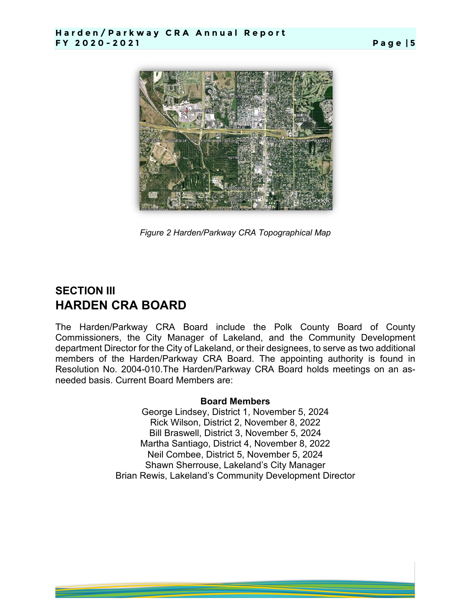

**Figure 2 Harden/Parkway CRA Topographical Map** 

#### **SECTION III HARDEN CRA BOARD**

The Harden/Parkway CRA Board include the Polk County Board of County Commissioners, the City Manager of Lakeland, and the Community Development department Director for the City of Lakeland, or their designees, to serve as two additional members of the Harden/Parkway CRA Board. The appointing authority is found in Resolution No. 2004-010.The Harden/Parkway CRA Board holds meetings on an asneeded basis. Current Board Members are:

#### **Board Members**

George Lindsey, District 1, November 5, 2024 Rick Wilson, District 2, November 8, 2022 Bill Braswell, District 3, November 5, 2024 Martha Santiago, District 4, November 8, 2022 Neil Combee, District 5, November 5, 2024 Shawn Sherrouse, Lakeland's City Manager Brian Rewis, Lakeland's Community Development Director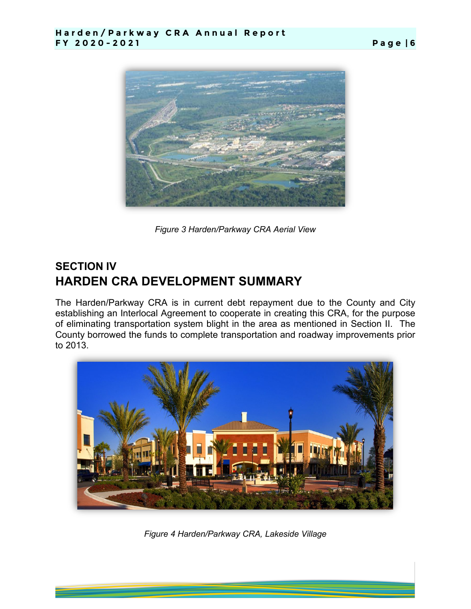

**Figure 3 Harden/Parkway CRA Aerial View** 

### **SECTION IV HARDEN CRA DEVELOPMENT SUMMARY**

The Harden/Parkway CRA is in current debt repayment due to the County and City establishing an Interlocal Agreement to cooperate in creating this CRA, for the purpose of eliminating transportation system blight in the area as mentioned in Section II. The County borrowed the funds to complete transportation and roadway improvements prior to 2013.



*Figure 4 Harden/Parkway CRA, Lakeside Village*